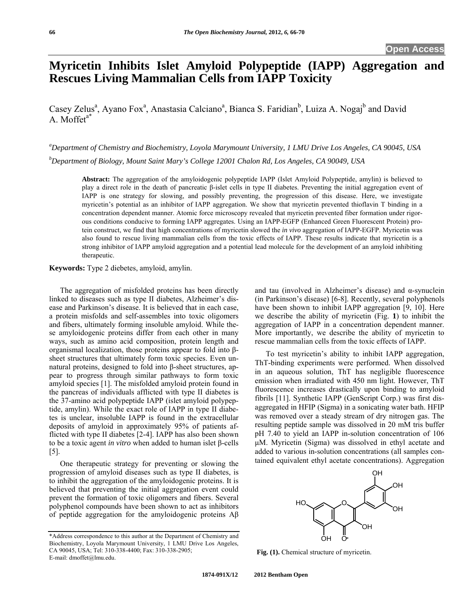# **Myricetin Inhibits Islet Amyloid Polypeptide (IAPP) Aggregation and Rescues Living Mammalian Cells from IAPP Toxicity**

Casey Zelus<sup>a</sup>, Ayano Fox<sup>a</sup>, Anastasia Calciano<sup>a</sup>, Bianca S. Faridian<sup>b</sup>, Luiza A. Nogaj<sup>b</sup> and David A. Moffet<sup>a\*</sup>

*a Department of Chemistry and Biochemistry, Loyola Marymount University, 1 LMU Drive Los Angeles, CA 90045, USA b Department of Biology, Mount Saint Mary's College 12001 Chalon Rd, Los Angeles, CA 90049, USA* 

**Abstract:** The aggregation of the amyloidogenic polypeptide IAPP (Islet Amyloid Polypeptide, amylin) is believed to play a direct role in the death of pancreatic β-islet cells in type II diabetes. Preventing the initial aggregation event of IAPP is one strategy for slowing, and possibly preventing, the progression of this disease. Here, we investigate myricetin's potential as an inhibitor of IAPP aggregation. We show that myricetin prevented thioflavin T binding in a concentration dependent manner. Atomic force microscopy revealed that myricetin prevented fiber formation under rigorous conditions conducive to forming IAPP aggregates. Using an IAPP-EGFP (Enhanced Green Fluorescent Protein) protein construct, we find that high concentrations of myricetin slowed the *in vivo* aggregation of IAPP-EGFP. Myricetin was also found to rescue living mammalian cells from the toxic effects of IAPP. These results indicate that myricetin is a strong inhibitor of IAPP amyloid aggregation and a potential lead molecule for the development of an amyloid inhibiting therapeutic.

**Keywords:** Type 2 diebetes, amyloid, amylin.

 The aggregation of misfolded proteins has been directly linked to diseases such as type II diabetes, Alzheimer's disease and Parkinson's disease. It is believed that in each case, a protein misfolds and self-assembles into toxic oligomers and fibers, ultimately forming insoluble amyloid. While these amyloidogenic proteins differ from each other in many ways, such as amino acid composition, protein length and organismal localization, those proteins appear to fold into βsheet structures that ultimately form toxic species. Even unnatural proteins, designed to fold into β-sheet structures, appear to progress through similar pathways to form toxic amyloid species [1]. The misfolded amyloid protein found in the pancreas of individuals afflicted with type II diabetes is the 37-amino acid polypeptide IAPP (islet amyloid polypeptide, amylin). While the exact role of IAPP in type II diabetes is unclear, insoluble IAPP is found in the extracellular deposits of amyloid in approximately 95% of patients afflicted with type II diabetes [2-4]. IAPP has also been shown to be a toxic agent *in vitro* when added to human islet β-cells [5].

 One therapeutic strategy for preventing or slowing the progression of amyloid diseases such as type II diabetes, is to inhibit the aggregation of the amyloidogenic proteins. It is believed that preventing the initial aggregation event could prevent the formation of toxic oligomers and fibers. Several polyphenol compounds have been shown to act as inhibitors of peptide aggregation for the amyloidogenic proteins Aβ and tau (involved in Alzheimer's disease) and  $\alpha$ -synuclein (in Parkinson's disease) [6-8]. Recently, several polyphenols have been shown to inhibit IAPP aggregation [9, 10]. Here we describe the ability of myricetin (Fig. **1**) to inhibit the aggregation of IAPP in a concentration dependent manner. More importantly, we describe the ability of myricetin to rescue mammalian cells from the toxic effects of IAPP.

 To test myricetin's ability to inhibit IAPP aggregation, ThT-binding experiments were performed. When dissolved in an aqueous solution, ThT has negligible fluorescence emission when irradiated with 450 nm light. However, ThT fluorescence increases drastically upon binding to amyloid fibrils [11]. Synthetic IAPP (GenScript Corp.) was first disaggregated in HFIP (Sigma) in a sonicating water bath. HFIP was removed over a steady stream of dry nitrogen gas. The resulting peptide sample was dissolved in 20 mM tris buffer pH 7.40 to yield an IAPP in-solution concentration of 106 μM. Myricetin (Sigma) was dissolved in ethyl acetate and added to various in-solution concentrations (all samples contained equivalent ethyl acetate concentrations). Aggregation



**Fig. (1).** Chemical structure of myricetin.

<sup>\*</sup>Address correspondence to this author at the Department of Chemistry and Biochemistry, Loyola Marymount University, 1 LMU Drive Los Angeles, CA 90045, USA; Tel: 310-338-4400; Fax: 310-338-2905; E-mail: dmoffet@lmu.edu.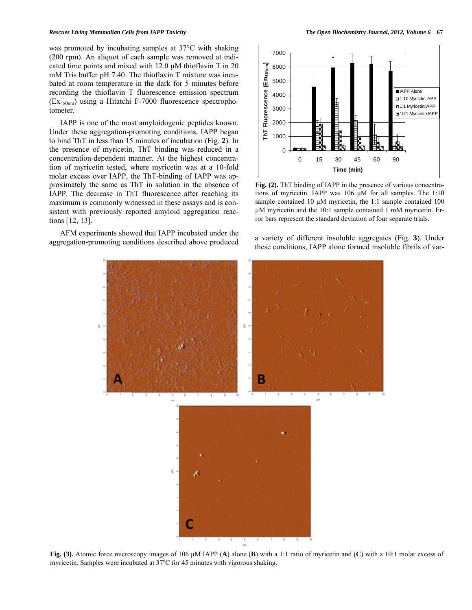#### *Rescues Living Mammalian Cells from IAPP Toxicity The Open Biochemistry Journal, 2012, Volume 6* **67**

was promoted by incubating samples at 37°C with shaking (200 rpm). An aliquot of each sample was removed at indicated time points and mixed with 12.0 μM thioflavin T in 20 mM Tris buffer pH 7.40. The thioflavin T mixture was incubated at room temperature in the dark for 5 minutes before recording the thioflavin T fluorescence emission spectrum (Ex450nm) using a Hitatchi F-7000 fluorescence spectrophotometer.

 IAPP is one of the most amyloidogenic peptides known. Under these aggregation-promoting conditions, IAPP began to bind ThT in less than 15 minutes of incubation (Fig. **2**). In the presence of myricetin, ThT binding was reduced in a concentration-dependent manner. At the highest concentration of myricetin tested, where myricetin was at a 10-fold molar excess over IAPP, the ThT-binding of IAPP was approximately the same as ThT in solution in the absence of IAPP. The decrease in ThT fluorescence after reaching its maximum is commonly witnessed in these assays and is consistent with previously reported amyloid aggregation reactions [12, 13].

 AFM experiments showed that IAPP incubated under the a variety of different insoluble aggregates (Fig. 3). Under aggregation-promoting conditions described above produced



Fig. (2). ThT binding of IAPP in the presence of various concentrations of myricetin. IAPP was 106 μM for all samples. The 1:10 sample contained 10 μM myricetin, the 1:1 sample contained 100 μM myricetin and the 10:1 sample contained 1 mM myricetin. Error bars represent the standard deviation of four separate trials.

these conditions, IAPP alone formed insoluble fibrils of var-



**Fig. (3).** Atomic force microscopy images of 106 μM IAPP (**A**) alone (**B**) with a 1:1 ratio of myricetin and (**C**) with a 10:1 molar excess of myricetin. Samples were incubated at  $37^{\circ}$ C for 45 minutes with vigorous shaking.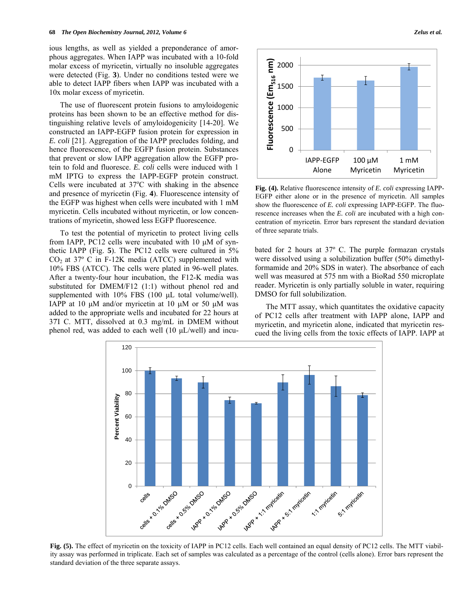ious lengths, as well as yielded a preponderance of amorphous aggregates. When IAPP was incubated with a 10-fold molar excess of myricetin, virtually no insoluble aggregates were detected (Fig. **3**). Under no conditions tested were we able to detect IAPP fibers when IAPP was incubated with a 10x molar excess of myricetin.

 The use of fluorescent protein fusions to amyloidogenic proteins has been shown to be an effective method for distinguishing relative levels of amyloidogenicity [14-20]. We constructed an IAPP-EGFP fusion protein for expression in *E. coli* [21]. Aggregation of the IAPP precludes folding, and hence fluorescence, of the EGFP fusion protein. Substances that prevent or slow IAPP aggregation allow the EGFP protein to fold and fluoresce. *E. coli* cells were induced with 1 mM IPTG to express the IAPP-EGFP protein construct. Cells were incubated at  $37^{\circ}$ C with shaking in the absence and presence of myricetin (Fig. **4**). Fluorescence intensity of the EGFP was highest when cells were incubated with 1 mM myricetin. Cells incubated without myricetin, or low concentrations of myricetin, showed less EGFP fluorescence.

 To test the potential of myricetin to protect living cells from IAPP, PC12 cells were incubated with 10  $\mu$ M of synthetic IAPP (Fig. **5**). The PC12 cells were cultured in 5%  $CO<sub>2</sub>$  at 37° C in F-12K media (ATCC) supplemented with 10% FBS (ATCC). The cells were plated in 96-well plates. After a twenty-four hour incubation, the F12-K media was substituted for DMEM/F12 (1:1) without phenol red and supplemented with 10% FBS (100 μL total volume/well). IAPP at 10  $\mu$ M and/or myricetin at 10  $\mu$ M or 50  $\mu$ M was added to the appropriate wells and incubated for 22 hours at 37I C. MTT, dissolved at 0.3 mg/mL in DMEM without phenol red, was added to each well (10 μL/well) and incu-



**Fig. (4).** Relative fluorescence intensity of *E. coli* expressing IAPP-EGFP either alone or in the presence of myricetin. All samples show the fluorescence of *E. coli* expressing IAPP-EGFP. The fluorescence increases when the *E. coli* are incubated with a high concentration of myricetin. Error bars represent the standard deviation of three separate trials.

bated for 2 hours at 37º C. The purple formazan crystals were dissolved using a solubilization buffer (50% dimethylformamide and 20% SDS in water). The absorbance of each well was measured at 575 nm with a BioRad 550 microplate reader. Myricetin is only partially soluble in water, requiring DMSO for full solubilization.

 The MTT assay, which quantitates the oxidative capacity of PC12 cells after treatment with IAPP alone, IAPP and myricetin, and myricetin alone, indicated that myricetin rescued the living cells from the toxic effects of IAPP. IAPP at



**Fig. (5).** The effect of myricetin on the toxicity of IAPP in PC12 cells. Each well contained an equal density of PC12 cells. The MTT viability assay was performed in triplicate. Each set of samples was calculated as a percentage of the control (cells alone). Error bars represent the standard deviation of the three separate assays.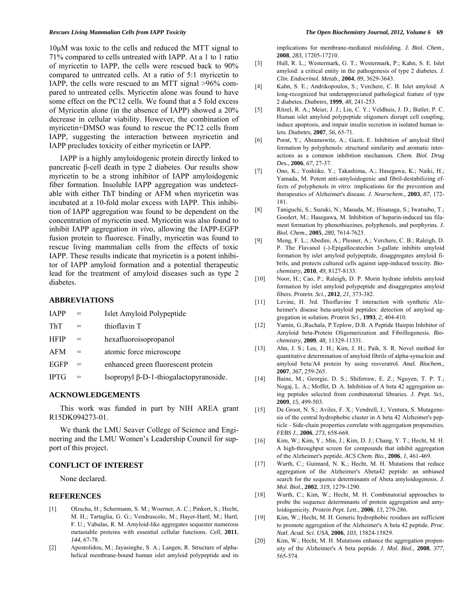10μM was toxic to the cells and reduced the MTT signal to 71% compared to cells untreated with IAPP. At a 1 to 1 ratio of myricetin to IAPP, the cells were rescued back to 90% compared to untreated cells. At a ratio of 5:1 myricetin to IAPP, the cells were rescued to an MTT signal >96% compared to untreated cells. Myricetin alone was found to have some effect on the PC12 cells. We found that a 5 fold excess of Myricetin alone (in the absence of IAPP) showed a 20% decrease in cellular viability. However, the combination of myricetin+DMSO was found to rescue the PC12 cells from IAPP, suggesting the interaction between myricetin and IAPP precludes toxicity of either myricetin or IAPP.

 IAPP is a highly amyloidogenic protein directly linked to pancreatic β-cell death in type 2 diabetes. Our results show myricetin to be a strong inhibitor of IAPP amyloidogenic fiber formation. Insoluble IAPP aggregation was undetectable with either ThT binding or AFM when myricetin was incubated at a 10-fold molar excess with IAPP. This inhibition of IAPP aggregation was found to be dependent on the concentration of myricetin used. Myricetin was also found to inhibit IAPP aggregation *in vivo*, allowing the IAPP-EGFP fusion protein to fluoresce. Finally, myricetin was found to rescue living mammalian cells from the effects of toxic IAPP. These results indicate that myricetin is a potent inhibitor of IAPP amyloid formation and a potential therapeutic lead for the treatment of amyloid diseases such as type 2 diabetes.

## **ABBREVIATIONS**

| <b>JAPP</b> | $=$ | Islet Amyloid Polypeptide              |
|-------------|-----|----------------------------------------|
| ThT         |     | thioflavin T                           |
| <b>HFIP</b> | $=$ | hexafluoroisopropanol                  |
| AFM         | $=$ | atomic force microscope                |
| <b>EGFP</b> | $=$ | enhanced green fluorescent protein     |
| <b>IPTG</b> | $=$ | Isopropyl β-D-1-thiogalactopyranoside. |

#### **ACKNOWLEDGEMENTS**

 This work was funded in part by NIH AREA grant R15DK094273-01.

 We thank the LMU Seaver College of Science and Engineering and the LMU Women's Leadership Council for support of this project.

# **CONFLICT OF INTEREST**

None declared.

### **REFERENCES**

- [1] Olzscha, H.; Schermann, S. M.; Woerner, A. C.; Pinkert, S.; Hecht, M. H.; Tartaglia, G. G.; Vendruscolo, M.; Hayer-Hartl, M.; Hartl, F. U.; Vabulas, R. M. Amyloid-like aggregates sequester numerous metastable proteins with essential cellular functions*. Cell,* **2011**, *144,* 67-78.
- [2] Apostolidou, M.; Jayasinghe, S. A.; Langen, R. Structure of alphahelical membrane-bound human islet amyloid polypeptide and its

implications for membrane-mediated misfolding*. J. Biol. Chem.,*  **2008**, *283,* 17205-17210.

- [3] Hull, R. L.; Westermark, G. T.; Westermark, P.; Kahn, S. E. Islet amyloid: a critical entity in the pathogenesis of type 2 diabetes*. J. Clin. Endocrinol. Metab.,* **2004**, *89,* 3629-3643.
- [4] Kahn, S. E.; Andrikopoulos, S.; Verchere, C. B. Islet amyloid: A long-recognized but underappreciated pathological feature of type 2 diabetes*. Diabetes,* **1999**, *48,* 241-253.
- [5] Ritzel, R. A.; Meier, J. J.; Lin, C. Y.; Veldhuis, J. D.; Butler, P. C. Human islet amyloid polypeptide oligomers disrupt cell coupling, induce apoptosis, and impair insulin secretion in isolated human islets*. Diabetes,* **2007**, *56,* 65-71.
- [6] Porat, Y.; Abramowitz, A.; Gazit, E. Inhibition of amyloid fibril formation by polyphenols: structural similarity and aromatic interactions as a common inhibition mechanism*. Chem. Biol. Drug Des.,* **2006**, *67,* 27-37.
- [7] Ono, K.; Yoshiike, Y.; Takashima, A.; Hasegawa, K.; Naiki, H.; Yamada, M. Potent anti-amyloidogenic and fibril-destabilizing effects of polyphenols *in vitro*: implications for the prevention and therapeutics of Alzheimer's disease*. J. Neurochem.,* **2003**, *87,* 172- 181.
- [8] Taniguchi, S.; Suzuki, N.; Masuda, M.; Hisanaga, S.; Iwatsubo, T.; Goedert, M.; Hasegawa, M. Inhibition of heparin-induced tau filament formation by phenothiazines, polyphenols, and porphyrins*. J. Biol. Chem.,* **2005**, *280,* 7614-7623.
- [9] Meng, F. L.; Abedini, A.; Plesner, A.; Verchere, C. B.; Raleigh, D. P. The Flavanol (-)-Epigallocatechin 3-gallate inhibits amyloid formation by islet amyloid polypeptide, disaggregates amyloid fibrils, and protects cultured cells against iapp-induced toxicity*. Biochemistry,* **2010**, *49,* 8127-8133.
- [10] Noor, H.; Cao, P.; Raleigh, D. P. Morin hydrate inhibits amyloid formation by islet amyloid polypeptide and disaggregates amyloid fibers*. Protein. Sci.,* **2012***, 21,* 373-382.
- [11] Levine, H. 3rd. Thioflavine T interaction with synthetic Alzheimer's disease beta-amyloid peptides: detection of amyloid aggregation in solution*. Protein Sci.,* **1993**, *2,* 404-410.
- [12] Yamin, G.;Ruchala, P.Teplow, D.B. A Peptide Hairpin Inhibitor of Amyloid beta-Protein Oligomerization and Fibrillogenesis*. Biochemistry,* **2009**, *48,* 11329-11331.
- [13] Ahn, J. S.; Lee, J. H.; Kim, J. H.; Paik, S. R. Novel method for quantitative determination of amyloid fibrils of alpha-synuclein and amyloid beta/A4 protein by using resveratrol*. Anal. Biochem.,*  **2007**, *367,* 259-265.
- [14] Baine, M.; Georgie, D. S.; Shiferraw, E. Z.; Nguyen, T. P. T.; Nogaj, L. A.; Moffet, D. A. Inhibition of A beta 42 aggregation using peptides selected from combinatorial libraries*. J. Pept. Sci.,*  **2009**, *15,* 499-503.
- [15] De Groot, N. S.; Aviles, F. X.; Vendrell, J.; Ventura, S. Mutagenesis of the central hydrophobic cluster in A beta 42 Alzheimer's pepticle - Side-chain properties correlate with aggregation propensities*. FEBS J.,* **2006**, *273,* 658-668.
- [16] Kim, W.; Kim, Y.; Min, J.; Kim, D. J.; Chang, Y. T.; Hecht, M. H. A high-throughput screen for compounds that inhibit aggregation of the Alzheimer's peptide*. ACS Chem. Bio.,* **2006**, *1,* 461-469.
- [17] Wurth, C.; Guimard, N. K.; Hecht, M. H. Mutations that reduce aggregation of the Alzheimer's Abeta42 peptide: an unbiased search for the sequence determinants of Abeta amyloidogenesis*. J. Mol. Biol.,* **2002**, *319,* 1279-1290.
- [18] Wurth, C.; Kim, W.; Hecht, M. H. Combinatorial approaches to probe the sequence determinants of protein aggregation and amyloidogenicity*. Protein Pept. Lett.,* **2006**, *13,* 279-286.
- [19] Kim, W.; Hecht, M. H. Generic hydrophobic residues are sufficient to promote aggregation of the Alzheimer's A beta 42 peptide*. Proc. Natl. Acad. Sci. USA,* **2006**, *103,* 15824-15829.
- [20] Kim, W.; Hecht, M. H. Mutations enhance the aggregation propensity of the Alzheimer's A beta peptide*. J. Mol. Biol.,* **2008**, *377,* 565-574.